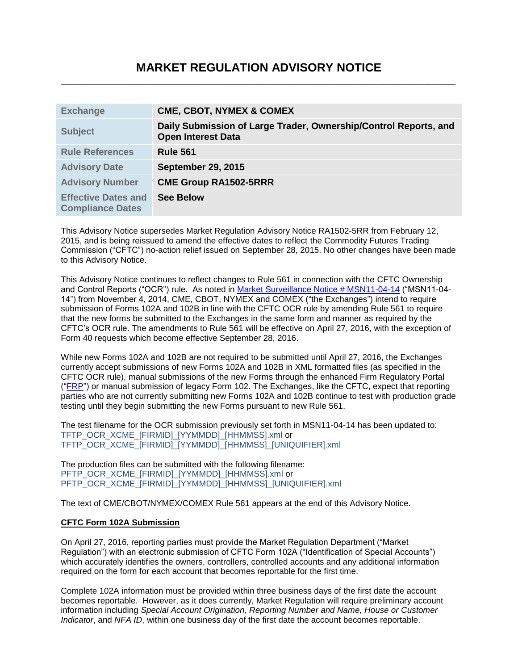# **MARKET REGULATION ADVISORY NOTICE \_\_\_\_\_\_\_\_\_\_\_\_\_\_\_\_\_\_\_\_\_\_\_\_\_\_\_\_\_\_\_\_\_\_\_\_\_\_\_\_\_\_\_\_\_\_\_\_\_\_\_\_\_\_\_\_\_\_\_\_\_\_\_\_\_\_\_\_\_\_**

| <b>Exchange</b>                                       | <b>CME, CBOT, NYMEX &amp; COMEX</b>                                                           |
|-------------------------------------------------------|-----------------------------------------------------------------------------------------------|
| <b>Subject</b>                                        | Daily Submission of Large Trader, Ownership/Control Reports, and<br><b>Open Interest Data</b> |
| <b>Rule References</b>                                | <b>Rule 561</b>                                                                               |
| <b>Advisory Date</b>                                  | <b>September 29, 2015</b>                                                                     |
| <b>Advisory Number</b>                                | <b>CME Group RA1502-5RRR</b>                                                                  |
| <b>Effective Dates and</b><br><b>Compliance Dates</b> | <b>See Below</b>                                                                              |

This Advisory Notice supersedes Market Regulation Advisory Notice RA1502-5RR from February 12, 2015, and is being reissued to amend the effective dates to reflect the Commodity Futures Trading Commission ("CFTC") no-action relief issued on September 28, 2015. No other changes have been made to this Advisory Notice.

This Advisory Notice continues to reflect changes to Rule 561 in connection with the CFTC Ownership and Control Reports ("OCR") rule. As noted in [Market Surveillance Notice # MSN11-04-14](http://www.cmegroup.com/tools-information/lookups/advisories/market-regulation/market-surveillance/files/MSN11-4-14-OCR-Testing.pdf) ("MSN11-04- 14") from November 4, 2014, CME, CBOT, NYMEX and COMEX ("the Exchanges") intend to require submission of Forms 102A and 102B in line with the CFTC OCR rule by amending Rule 561 to require that the new forms be submitted to the Exchanges in the same form and manner as required by the CFTC's OCR rule. The amendments to Rule 561 will be effective on April 27, 2016, with the exception of Form 40 requests which become effective September 28, 2016.

While new Forms 102A and 102B are not required to be submitted until April 27, 2016, the Exchanges currently accept submissions of new Forms 102A and 102B in XML formatted files (as specified in the CFTC OCR rule), manual submissions of the new Forms through the enhanced Firm Regulatory Portal (["FRP"](https://fltr.cmegroup.com/firmregulatoryportal/logon.jsp)) or manual submission of legacy Form 102. The Exchanges, like the CFTC, expect that reporting parties who are not currently submitting new Forms 102A and 102B continue to test with production grade testing until they begin submitting the new Forms pursuant to new Rule 561.

The test filename for the OCR submission previously set forth in MSN11-04-14 has been updated to: TFTP\_OCR\_XCME\_[FIRMID]\_[YYMMDD]\_[HHMMSS].xml or TFTP\_OCR\_XCME\_[FIRMID]\_[YYMMDD]\_[HHMMSS]\_[UNIQUIFIER].xml

The production files can be submitted with the following filename: PFTP\_OCR\_XCME\_[FIRMID]\_[YYMMDD]\_[HHMMSS].xml or PFTP\_OCR\_XCME\_[FIRMID]\_[YYMMDD]\_[HHMMSS]\_[UNIQUIFIER].xml

The text of CME/CBOT/NYMEX/COMEX Rule 561 appears at the end of this Advisory Notice.

## **CFTC Form 102A Submission**

On April 27, 2016, reporting parties must provide the Market Regulation Department ("Market Regulation") with an electronic submission of CFTC Form 102A ("Identification of Special Accounts") which accurately identifies the owners, controllers, controlled accounts and any additional information required on the form for each account that becomes reportable for the first time.

Complete 102A information must be provided within three business days of the first date the account becomes reportable. However, as it does currently, Market Regulation will require preliminary account information including *Special Account Origination, Reporting Number and Name, House or Customer Indicator*, and *NFA ID*, within one business day of the first date the account becomes reportable.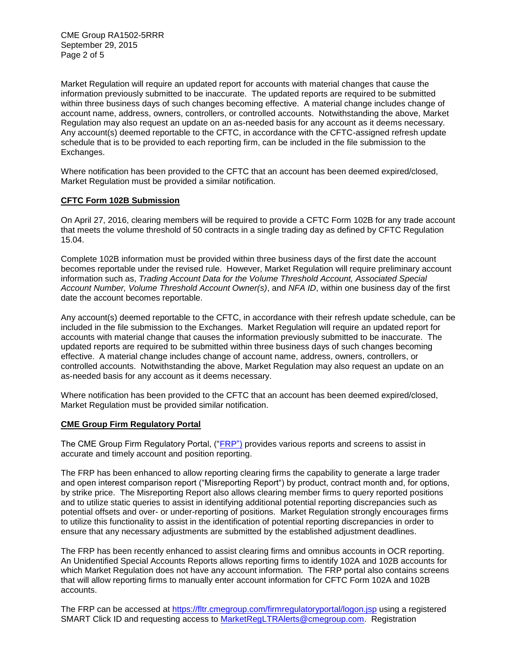CME Group RA1502-5RRR September 29, 2015 Page 2 of 5

Market Regulation will require an updated report for accounts with material changes that cause the information previously submitted to be inaccurate. The updated reports are required to be submitted within three business days of such changes becoming effective. A material change includes change of account name, address, owners, controllers, or controlled accounts. Notwithstanding the above, Market Regulation may also request an update on an as-needed basis for any account as it deems necessary. Any account(s) deemed reportable to the CFTC, in accordance with the CFTC-assigned refresh update schedule that is to be provided to each reporting firm, can be included in the file submission to the Exchanges.

Where notification has been provided to the CFTC that an account has been deemed expired/closed, Market Regulation must be provided a similar notification.

## **CFTC Form 102B Submission**

On April 27, 2016, clearing members will be required to provide a CFTC Form 102B for any trade account that meets the volume threshold of 50 contracts in a single trading day as defined by CFTC Regulation 15.04.

Complete 102B information must be provided within three business days of the first date the account becomes reportable under the revised rule. However, Market Regulation will require preliminary account information such as, *Trading Account Data for the Volume Threshold Account, Associated Special Account Number, Volume Threshold Account Owner(s)*, and *NFA ID*, within one business day of the first date the account becomes reportable.

Any account(s) deemed reportable to the CFTC, in accordance with their refresh update schedule, can be included in the file submission to the Exchanges. Market Regulation will require an updated report for accounts with material change that causes the information previously submitted to be inaccurate. The updated reports are required to be submitted within three business days of such changes becoming effective. A material change includes change of account name, address, owners, controllers, or controlled accounts. Notwithstanding the above, Market Regulation may also request an update on an as-needed basis for any account as it deems necessary.

Where notification has been provided to the CFTC that an account has been deemed expired/closed, Market Regulation must be provided similar notification.

#### **CME Group Firm Regulatory Portal**

The CME Group Firm Regulatory Portal, (["FRP"](https://fltr.cmegroup.com/firmregulatoryportal/logon.jsp)) provides various reports and screens to assist in accurate and timely account and position reporting.

The FRP has been enhanced to allow reporting clearing firms the capability to generate a large trader and open interest comparison report ("Misreporting Report") by product, contract month and, for options, by strike price. The Misreporting Report also allows clearing member firms to query reported positions and to utilize static queries to assist in identifying additional potential reporting discrepancies such as potential offsets and over- or under-reporting of positions. Market Regulation strongly encourages firms to utilize this functionality to assist in the identification of potential reporting discrepancies in order to ensure that any necessary adjustments are submitted by the established adjustment deadlines.

The FRP has been recently enhanced to assist clearing firms and omnibus accounts in OCR reporting. An Unidentified Special Accounts Reports allows reporting firms to identify 102A and 102B accounts for which Market Regulation does not have any account information. The FRP portal also contains screens that will allow reporting firms to manually enter account information for CFTC Form 102A and 102B accounts.

The FRP can be accessed at<https://fltr.cmegroup.com/firmregulatoryportal/logon.jsp> using a registered SMART Click ID and requesting access to [MarketRegLTRAlerts@cmegroup.com.](mailto:MarketRegLTRAlerts@cmegroup.com) Registration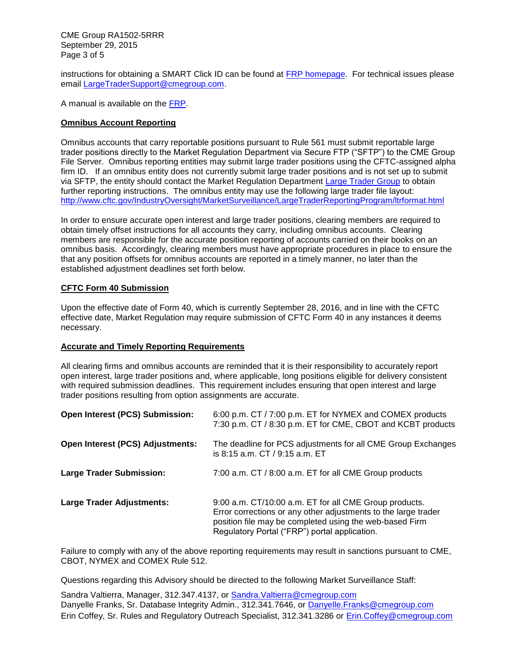CME Group RA1502-5RRR September 29, 2015 Page 3 of 5

instructions for obtaining a SMART Click ID can be found at **FRP homepage**. For technical issues please email [LargeTraderSupport@cmegroup.com.](mailto:LargeTraderSupport@cmegroup.com)

A manual is available on the [FRP.](https://fltr.cmegroup.com/firmregulatoryportal/logon.jsp)

## **Omnibus Account Reporting**

Omnibus accounts that carry reportable positions pursuant to Rule 561 must submit reportable large trader positions directly to the Market Regulation Department via Secure FTP ("SFTP") to the CME Group File Server. Omnibus reporting entities may submit large trader positions using the CFTC-assigned alpha firm ID. If an omnibus entity does not currently submit large trader positions and is not set up to submit via SFTP, the entity should contact the Market Regulation Department [Large Trader Group](mailto:MarketReglLTRAlerts@cmegroup.com) to obtain further reporting instructions. The omnibus entity may use the following large trader file layout: <http://www.cftc.gov/IndustryOversight/MarketSurveillance/LargeTraderReportingProgram/ltrformat.html>

In order to ensure accurate open interest and large trader positions, clearing members are required to obtain timely offset instructions for all accounts they carry, including omnibus accounts. Clearing members are responsible for the accurate position reporting of accounts carried on their books on an omnibus basis. Accordingly, clearing members must have appropriate procedures in place to ensure the that any position offsets for omnibus accounts are reported in a timely manner, no later than the established adjustment deadlines set forth below.

## **CFTC Form 40 Submission**

Upon the effective date of Form 40, which is currently September 28, 2016, and in line with the CFTC effective date, Market Regulation may require submission of CFTC Form 40 in any instances it deems necessary.

## **Accurate and Timely Reporting Requirements**

All clearing firms and omnibus accounts are reminded that it is their responsibility to accurately report open interest, large trader positions and, where applicable, long positions eligible for delivery consistent with required submission deadlines. This requirement includes ensuring that open interest and large trader positions resulting from option assignments are accurate.

| Open Interest (PCS) Submission:         | 6:00 p.m. CT / 7:00 p.m. ET for NYMEX and COMEX products<br>7:30 p.m. CT / 8:30 p.m. ET for CME, CBOT and KCBT products                                                                                                              |
|-----------------------------------------|--------------------------------------------------------------------------------------------------------------------------------------------------------------------------------------------------------------------------------------|
| <b>Open Interest (PCS) Adjustments:</b> | The deadline for PCS adjustments for all CME Group Exchanges<br>is 8:15 a.m. CT / 9:15 a.m. ET                                                                                                                                       |
| <b>Large Trader Submission:</b>         | 7:00 a.m. CT / 8:00 a.m. ET for all CME Group products                                                                                                                                                                               |
| <b>Large Trader Adjustments:</b>        | 9:00 a.m. CT/10:00 a.m. ET for all CME Group products.<br>Error corrections or any other adjustments to the large trader<br>position file may be completed using the web-based Firm<br>Regulatory Portal ("FRP") portal application. |

Failure to comply with any of the above reporting requirements may result in sanctions pursuant to CME, CBOT, NYMEX and COMEX Rule 512.

Questions regarding this Advisory should be directed to the following Market Surveillance Staff:

Sandra Valtierra, Manager, 312.347.4137, or [Sandra.Valtierra@cmegroup.com](mailto:Sandra.Valtierra@cmegroup.com) Danyelle Franks, Sr. Database Integrity Admin., 312.341.7646, or [Danyelle.Franks@cmegroup.com](mailto:Danyelle.Franks@cmegroup.com) Erin Coffey, Sr. Rules and Regulatory Outreach Specialist, 312.341.3286 or [Erin.Coffey@cmegroup.com](mailto:Erin.Coffey@cmegroup.com)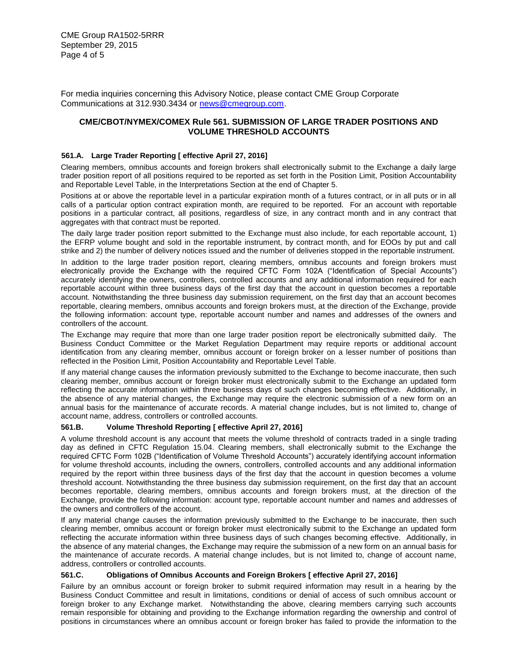For media inquiries concerning this Advisory Notice, please contact CME Group Corporate Communications at 312.930.3434 or [news@cmegroup.com.](mailto:news@cmegroup.com)

## **CME/CBOT/NYMEX/COMEX Rule 561. SUBMISSION OF LARGE TRADER POSITIONS AND VOLUME THRESHOLD ACCOUNTS**

#### <sup>1</sup>**561.A. Large Trader Reporting [ effective April 27, 2016]**

Clearing members, omnibus accounts and foreign brokers shall electronically submit to the Exchange a daily large trader position report of all positions required to be reported as set forth in the Position Limit, Position Accountability and Reportable Level Table, in the Interpretations Section at the end of Chapter 5.

Positions at or above the reportable level in a particular expiration month of a futures contract, or in all puts or in all calls of a particular option contract expiration month, are required to be reported. For an account with reportable positions in a particular contract, all positions, regardless of size, in any contract month and in any contract that aggregates with that contract must be reported.

The daily large trader position report submitted to the Exchange must also include, for each reportable account, 1) the EFRP volume bought and sold in the reportable instrument, by contract month, and for EOOs by put and call strike and 2) the number of delivery notices issued and the number of deliveries stopped in the reportable instrument.

In addition to the large trader position report, clearing members, omnibus accounts and foreign brokers must electronically provide the Exchange with the required CFTC Form 102A ("Identification of Special Accounts") accurately identifying the owners, controllers, controlled accounts and any additional information required for each reportable account within three business days of the first day that the account in question becomes a reportable account. Notwithstanding the three business day submission requirement, on the first day that an account becomes reportable, clearing members, omnibus accounts and foreign brokers must, at the direction of the Exchange, provide the following information: account type, reportable account number and names and addresses of the owners and controllers of the account.

The Exchange may require that more than one large trader position report be electronically submitted daily. The Business Conduct Committee or the Market Regulation Department may require reports or additional account identification from any clearing member, omnibus account or foreign broker on a lesser number of positions than reflected in the Position Limit, Position Accountability and Reportable Level Table.

If any material change causes the information previously submitted to the Exchange to become inaccurate, then such clearing member, omnibus account or foreign broker must electronically submit to the Exchange an updated form reflecting the accurate information within three business days of such changes becoming effective. Additionally, in the absence of any material changes, the Exchange may require the electronic submission of a new form on an annual basis for the maintenance of accurate records. A material change includes, but is not limited to, change of account name, address, controllers or controlled accounts.

#### **561.B. Volume Threshold Reporting [ effective April 27, 2016]**

A volume threshold account is any account that meets the volume threshold of contracts traded in a single trading day as defined in CFTC Regulation 15.04. Clearing members, shall electronically submit to the Exchange the required CFTC Form 102B ("Identification of Volume Threshold Accounts") accurately identifying account information for volume threshold accounts, including the owners, controllers, controlled accounts and any additional information required by the report within three business days of the first day that the account in question becomes a volume threshold account. Notwithstanding the three business day submission requirement, on the first day that an account becomes reportable, clearing members, omnibus accounts and foreign brokers must, at the direction of the Exchange, provide the following information: account type, reportable account number and names and addresses of the owners and controllers of the account.

If any material change causes the information previously submitted to the Exchange to be inaccurate, then such clearing member, omnibus account or foreign broker must electronically submit to the Exchange an updated form reflecting the accurate information within three business days of such changes becoming effective. Additionally, in the absence of any material changes, the Exchange may require the submission of a new form on an annual basis for the maintenance of accurate records. A material change includes, but is not limited to, change of account name, address, controllers or controlled accounts.

## **561.C. Obligations of Omnibus Accounts and Foreign Brokers [ effective April 27, 2016]**

Failure by an omnibus account or foreign broker to submit required information may result in a hearing by the Business Conduct Committee and result in limitations, conditions or denial of access of such omnibus account or foreign broker to any Exchange market. Notwithstanding the above, clearing members carrying such accounts remain responsible for obtaining and providing to the Exchange information regarding the ownership and control of positions in circumstances where an omnibus account or foreign broker has failed to provide the information to the